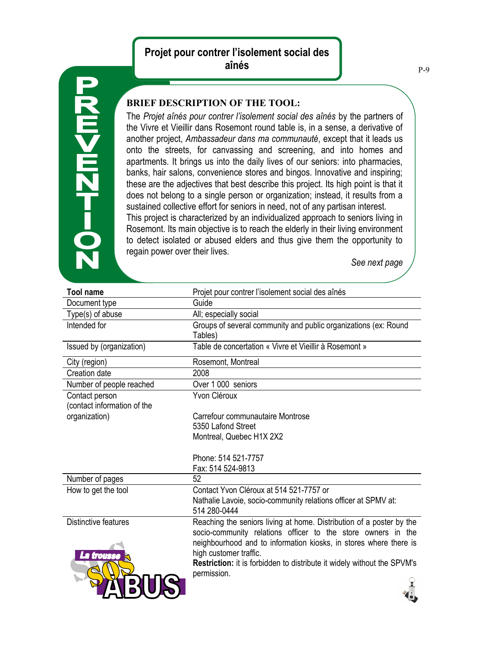## **Projet pour contrer l'isolement social des aînés**



## **BRIEF DESCRIPTION OF THE TOOL:**

The *Projet aînés pour contrer l'isolement social des aînés* by the partners of the Vivre et Vieillir dans Rosemont round table is, in a sense, a derivative of another project, *Ambassadeur dans ma communauté*, except that it leads us onto the streets, for canvassing and screening, and into homes and apartments. It brings us into the daily lives of our seniors: into pharmacies, banks, hair salons, convenience stores and bingos. Innovative and inspiring; these are the adjectives that best describe this project. Its high point is that it does not belong to a single person or organization; instead, it results from a sustained collective effort for seniors in need, not of any partisan interest. This project is characterized by an individualized approach to seniors living in Rosemont. Its main objective is to reach the elderly in their living environment to detect isolated or abused elders and thus give them the opportunity to regain power over their lives.

*See next page*

G

| <b>Tool name</b>                   | Projet pour contrer l'isolement social des aînés                                                                                                                                                                                                                                                                              |
|------------------------------------|-------------------------------------------------------------------------------------------------------------------------------------------------------------------------------------------------------------------------------------------------------------------------------------------------------------------------------|
| Document type                      | Guide                                                                                                                                                                                                                                                                                                                         |
| Type(s) of abuse                   | All; especially social                                                                                                                                                                                                                                                                                                        |
| Intended for                       | Groups of several community and public organizations (ex: Round<br>Tables)                                                                                                                                                                                                                                                    |
| Issued by (organization)           | Table de concertation « Vivre et Vieillir à Rosemont »                                                                                                                                                                                                                                                                        |
| City (region)                      | Rosemont, Montreal                                                                                                                                                                                                                                                                                                            |
| Creation date                      | 2008                                                                                                                                                                                                                                                                                                                          |
| Number of people reached           | Over 1000 seniors                                                                                                                                                                                                                                                                                                             |
| Contact person                     | Yvon Cléroux                                                                                                                                                                                                                                                                                                                  |
| (contact information of the        |                                                                                                                                                                                                                                                                                                                               |
| organization)                      | Carrefour communautaire Montrose                                                                                                                                                                                                                                                                                              |
|                                    | 5350 Lafond Street                                                                                                                                                                                                                                                                                                            |
|                                    | Montreal, Quebec H1X 2X2                                                                                                                                                                                                                                                                                                      |
|                                    |                                                                                                                                                                                                                                                                                                                               |
|                                    | Phone: 514 521-7757                                                                                                                                                                                                                                                                                                           |
|                                    | Fax: 514 524-9813                                                                                                                                                                                                                                                                                                             |
| Number of pages                    | 52                                                                                                                                                                                                                                                                                                                            |
| How to get the tool                | Contact Yvon Cléroux at 514 521-7757 or                                                                                                                                                                                                                                                                                       |
|                                    | Nathalie Lavoie, socio-community relations officer at SPMV at:<br>514 280-0444                                                                                                                                                                                                                                                |
| Distinctive features<br>La trousse | Reaching the seniors living at home. Distribution of a poster by the<br>socio-community relations officer to the store owners in the<br>neighbourhood and to information kiosks, in stores where there is<br>high customer traffic.<br>Restriction: it is forbidden to distribute it widely without the SPVM's<br>permission. |
|                                    |                                                                                                                                                                                                                                                                                                                               |